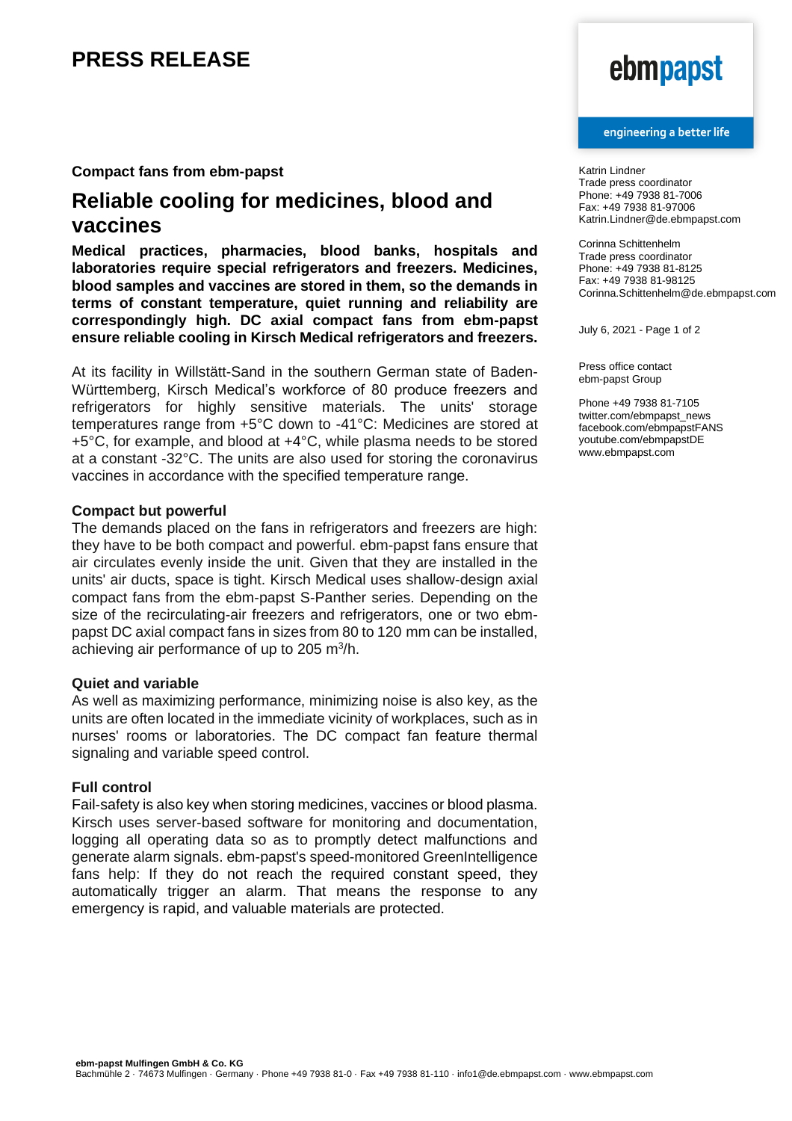# **PRESS RELEASE**

# **Compact fans from ebm-papst**

# **Reliable cooling for medicines, blood and vaccines**

**Medical practices, pharmacies, blood banks, hospitals and laboratories require special refrigerators and freezers. Medicines, blood samples and vaccines are stored in them, so the demands in terms of constant temperature, quiet running and reliability are correspondingly high. DC axial compact fans from ebm-papst ensure reliable cooling in Kirsch Medical refrigerators and freezers.**

At its facility in Willstätt-Sand in the southern German state of Baden-Württemberg, Kirsch Medical's workforce of 80 produce freezers and refrigerators for highly sensitive materials. The units' storage temperatures range from +5°C down to -41°C: Medicines are stored at +5°C, for example, and blood at +4°C, while plasma needs to be stored at a constant -32°C. The units are also used for storing the coronavirus vaccines in accordance with the specified temperature range.

### **Compact but powerful**

The demands placed on the fans in refrigerators and freezers are high: they have to be both compact and powerful. ebm-papst fans ensure that air circulates evenly inside the unit. Given that they are installed in the units' air ducts, space is tight. Kirsch Medical uses shallow-design axial compact fans from the ebm-papst S-Panther series. Depending on the size of the recirculating-air freezers and refrigerators, one or two ebmpapst DC axial compact fans in sizes from 80 to 120 mm can be installed, achieving air performance of up to 205 m<sup>3</sup>/h.

## **Quiet and variable**

As well as maximizing performance, minimizing noise is also key, as the units are often located in the immediate vicinity of workplaces, such as in nurses' rooms or laboratories. The DC compact fan feature thermal signaling and variable speed control.

## **Full control**

Fail-safety is also key when storing medicines, vaccines or blood plasma. Kirsch uses server-based software for monitoring and documentation, logging all operating data so as to promptly detect malfunctions and generate alarm signals. ebm-papst's speed-monitored GreenIntelligence fans help: If they do not reach the required constant speed, they automatically trigger an alarm. That means the response to any emergency is rapid, and valuable materials are protected.

# ebmpapst

#### engineering a better life

Katrin Lindner Trade press coordinator Phone: +49 7938 81-7006 Fax: +49 7938 81-97006 Katrin.Lindner@de.ebmpapst.com

Corinna Schittenhelm Trade press coordinator Phone: +49 7938 81-8125 Fax: +49 7938 81-98125 Corinna.Schittenhelm@de.ebmpapst.com

July 6, 2021 - Page 1 of 2

Press office contact ebm-papst Group

Phone +49 7938 81-7105 twitter.com/ebmpapst\_news facebook.com/ebmpapstFANS youtube.com/ebmpapstDE www.ebmpapst.com